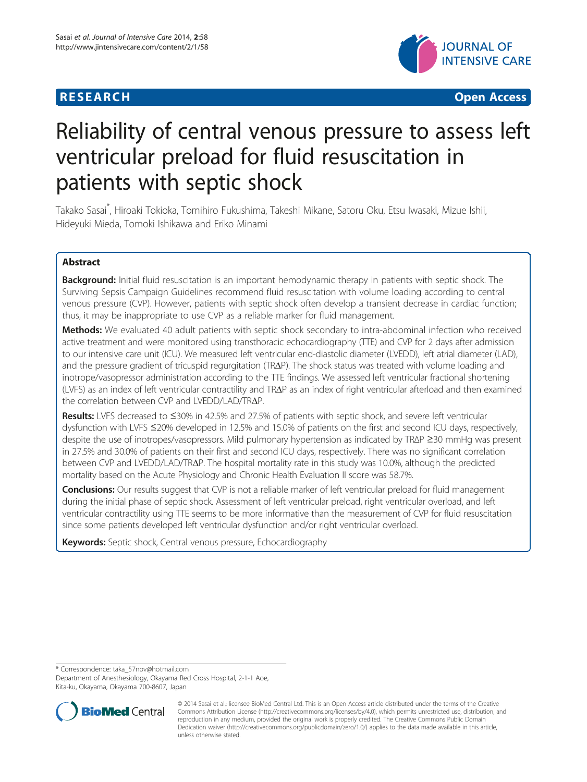## **RESEARCH CHILD CONTROL** CONTROL CONTROL CONTROL CONTROL CONTROL CONTROL CONTROL CONTROL CONTROL CONTROL CONTROL CONTROL CONTROL CONTROL CONTROL CONTROL CONTROL CONTROL CONTROL CONTROL CONTROL CONTROL CONTROL CONTROL CONTR



# Reliability of central venous pressure to assess left ventricular preload for fluid resuscitation in patients with septic shock

Takako Sasai\* , Hiroaki Tokioka, Tomihiro Fukushima, Takeshi Mikane, Satoru Oku, Etsu Iwasaki, Mizue Ishii, Hideyuki Mieda, Tomoki Ishikawa and Eriko Minami

## Abstract

**Background:** Initial fluid resuscitation is an important hemodynamic therapy in patients with septic shock. The Surviving Sepsis Campaign Guidelines recommend fluid resuscitation with volume loading according to central venous pressure (CVP). However, patients with septic shock often develop a transient decrease in cardiac function; thus, it may be inappropriate to use CVP as a reliable marker for fluid management.

Methods: We evaluated 40 adult patients with septic shock secondary to intra-abdominal infection who received active treatment and were monitored using transthoracic echocardiography (TTE) and CVP for 2 days after admission to our intensive care unit (ICU). We measured left ventricular end-diastolic diameter (LVEDD), left atrial diameter (LAD), and the pressure gradient of tricuspid regurgitation (TRΔP). The shock status was treated with volume loading and inotrope/vasopressor administration according to the TTE findings. We assessed left ventricular fractional shortening (LVFS) as an index of left ventricular contractility and TRΔP as an index of right ventricular afterload and then examined the correlation between CVP and LVEDD/LAD/TRΔP.

Results: LVFS decreased to ≤30% in 42.5% and 27.5% of patients with septic shock, and severe left ventricular dysfunction with LVFS ≤20% developed in 12.5% and 15.0% of patients on the first and second ICU days, respectively, despite the use of inotropes/vasopressors. Mild pulmonary hypertension as indicated by TRΔP ≥30 mmHg was present in 27.5% and 30.0% of patients on their first and second ICU days, respectively. There was no significant correlation between CVP and LVEDD/LAD/TRΔP. The hospital mortality rate in this study was 10.0%, although the predicted mortality based on the Acute Physiology and Chronic Health Evaluation II score was 58.7%.

**Conclusions:** Our results suggest that CVP is not a reliable marker of left ventricular preload for fluid management during the initial phase of septic shock. Assessment of left ventricular preload, right ventricular overload, and left ventricular contractility using TTE seems to be more informative than the measurement of CVP for fluid resuscitation since some patients developed left ventricular dysfunction and/or right ventricular overload.

Keywords: Septic shock, Central venous pressure, Echocardiography

\* Correspondence: [taka\\_57nov@hotmail.com](mailto:taka_57nov@hotmail.com)

Department of Anesthesiology, Okayama Red Cross Hospital, 2-1-1 Aoe, Kita-ku, Okayama, Okayama 700-8607, Japan



<sup>© 2014</sup> Sasai et al.; licensee BioMed Central Ltd. This is an Open Access article distributed under the terms of the Creative Commons Attribution License [\(http://creativecommons.org/licenses/by/4.0\)](http://creativecommons.org/licenses/by/4.0), which permits unrestricted use, distribution, and reproduction in any medium, provided the original work is properly credited. The Creative Commons Public Domain Dedication waiver [\(http://creativecommons.org/publicdomain/zero/1.0/](http://creativecommons.org/publicdomain/zero/1.0/)) applies to the data made available in this article, unless otherwise stated.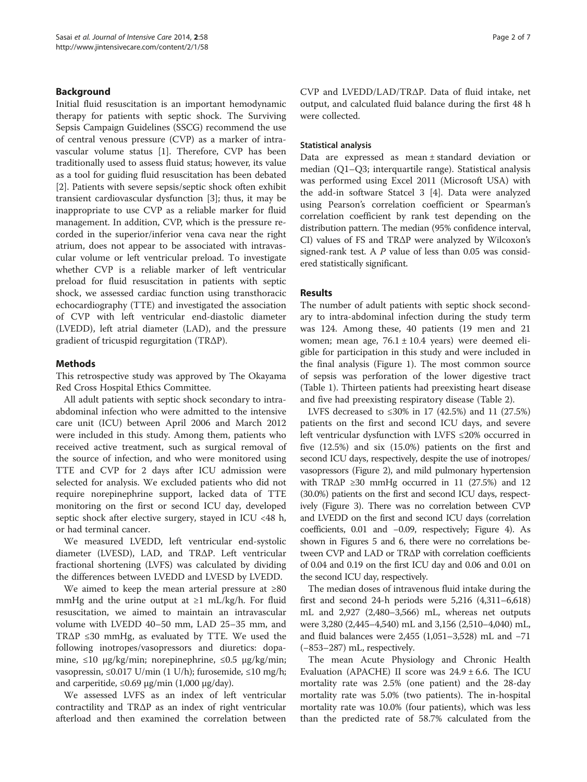## Background

Initial fluid resuscitation is an important hemodynamic therapy for patients with septic shock. The Surviving Sepsis Campaign Guidelines (SSCG) recommend the use of central venous pressure (CVP) as a marker of intravascular volume status [[1](#page-6-0)]. Therefore, CVP has been traditionally used to assess fluid status; however, its value as a tool for guiding fluid resuscitation has been debated [[2\]](#page-6-0). Patients with severe sepsis/septic shock often exhibit transient cardiovascular dysfunction [\[3](#page-6-0)]; thus, it may be inappropriate to use CVP as a reliable marker for fluid management. In addition, CVP, which is the pressure recorded in the superior/inferior vena cava near the right atrium, does not appear to be associated with intravascular volume or left ventricular preload. To investigate whether CVP is a reliable marker of left ventricular preload for fluid resuscitation in patients with septic shock, we assessed cardiac function using transthoracic echocardiography (TTE) and investigated the association of CVP with left ventricular end-diastolic diameter (LVEDD), left atrial diameter (LAD), and the pressure gradient of tricuspid regurgitation (TRΔP).

#### Methods

This retrospective study was approved by The Okayama Red Cross Hospital Ethics Committee.

All adult patients with septic shock secondary to intraabdominal infection who were admitted to the intensive care unit (ICU) between April 2006 and March 2012 were included in this study. Among them, patients who received active treatment, such as surgical removal of the source of infection, and who were monitored using TTE and CVP for 2 days after ICU admission were selected for analysis. We excluded patients who did not require norepinephrine support, lacked data of TTE monitoring on the first or second ICU day, developed septic shock after elective surgery, stayed in ICU <48 h, or had terminal cancer.

We measured LVEDD, left ventricular end-systolic diameter (LVESD), LAD, and TRΔP. Left ventricular fractional shortening (LVFS) was calculated by dividing the differences between LVEDD and LVESD by LVEDD.

We aimed to keep the mean arterial pressure at ≥80 mmHg and the urine output at  $\geq 1$  mL/kg/h. For fluid resuscitation, we aimed to maintain an intravascular volume with LVEDD 40–50 mm, LAD 25–35 mm, and TRΔP ≤30 mmHg, as evaluated by TTE. We used the following inotropes/vasopressors and diuretics: dopamine, ≤10 μg/kg/min; norepinephrine, ≤0.5 μg/kg/min; vasopressin, ≤0.017 U/min (1 U/h); furosemide, ≤10 mg/h; and carperitide,  $≤0.69$  μg/min (1,000 μg/day).

We assessed LVFS as an index of left ventricular contractility and TRΔP as an index of right ventricular afterload and then examined the correlation between CVP and LVEDD/LAD/TRΔP. Data of fluid intake, net output, and calculated fluid balance during the first 48 h were collected.

#### Statistical analysis

Data are expressed as mean ± standard deviation or median (Q1–Q3; interquartile range). Statistical analysis was performed using Excel 2011 (Microsoft USA) with the add-in software Statcel 3 [\[4](#page-6-0)]. Data were analyzed using Pearson's correlation coefficient or Spearman's correlation coefficient by rank test depending on the distribution pattern. The median (95% confidence interval, CI) values of FS and TRΔP were analyzed by Wilcoxon's signed-rank test. A  $P$  value of less than 0.05 was considered statistically significant.

## Results

The number of adult patients with septic shock secondary to intra-abdominal infection during the study term was 124. Among these, 40 patients (19 men and 21 women; mean age,  $76.1 \pm 10.4$  years) were deemed eligible for participation in this study and were included in the final analysis (Figure [1](#page-2-0)). The most common source of sepsis was perforation of the lower digestive tract (Table [1](#page-2-0)). Thirteen patients had preexisting heart disease and five had preexisting respiratory disease (Table [2](#page-2-0)).

LVFS decreased to ≤30% in 17 (42.5%) and 11 (27.5%) patients on the first and second ICU days, and severe left ventricular dysfunction with LVFS ≤20% occurred in five (12.5%) and six (15.0%) patients on the first and second ICU days, respectively, despite the use of inotropes/ vasopressors (Figure [2](#page-3-0)), and mild pulmonary hypertension with TR $\Delta$ P ≥30 mmHg occurred in 11 (27.5%) and 12 (30.0%) patients on the first and second ICU days, respectively (Figure [3\)](#page-3-0). There was no correlation between CVP and LVEDD on the first and second ICU days (correlation coefficients, 0.01 and −0.09, respectively; Figure [4](#page-4-0)). As shown in Figures [5](#page-4-0) and [6,](#page-5-0) there were no correlations between CVP and LAD or TRΔP with correlation coefficients of 0.04 and 0.19 on the first ICU day and 0.06 and 0.01 on the second ICU day, respectively.

The median doses of intravenous fluid intake during the first and second 24-h periods were 5,216 (4,311–6,618) mL and 2,927 (2,480–3,566) mL, whereas net outputs were 3,280 (2,445–4,540) mL and 3,156 (2,510–4,040) mL, and fluid balances were 2,455 (1,051–3,528) mL and −71 (−853–287) mL, respectively.

The mean Acute Physiology and Chronic Health Evaluation (APACHE) II score was  $24.9 \pm 6.6$ . The ICU mortality rate was 2.5% (one patient) and the 28-day mortality rate was 5.0% (two patients). The in-hospital mortality rate was 10.0% (four patients), which was less than the predicted rate of 58.7% calculated from the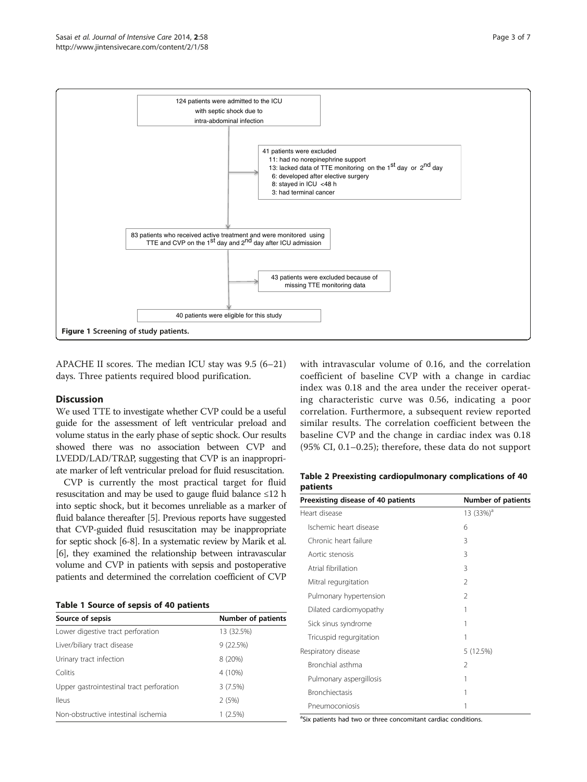<span id="page-2-0"></span>

APACHE II scores. The median ICU stay was 9.5 (6–21) days. Three patients required blood purification.

## **Discussion**

We used TTE to investigate whether CVP could be a useful guide for the assessment of left ventricular preload and volume status in the early phase of septic shock. Our results showed there was no association between CVP and LVEDD/LAD/TRΔP, suggesting that CVP is an inappropriate marker of left ventricular preload for fluid resuscitation.

CVP is currently the most practical target for fluid resuscitation and may be used to gauge fluid balance ≤12 h into septic shock, but it becomes unreliable as a marker of fluid balance thereafter [[5](#page-6-0)]. Previous reports have suggested that CVP-guided fluid resuscitation may be inappropriate for septic shock [\[6-8\]](#page-6-0). In a systematic review by Marik et al. [[6](#page-6-0)], they examined the relationship between intravascular volume and CVP in patients with sepsis and postoperative patients and determined the correlation coefficient of CVP

|  |  |  |  |  |  |  | Table 1 Source of sepsis of 40 patients |
|--|--|--|--|--|--|--|-----------------------------------------|
|--|--|--|--|--|--|--|-----------------------------------------|

| Source of sepsis                         | <b>Number of patients</b> |  |  |
|------------------------------------------|---------------------------|--|--|
| Lower digestive tract perforation        | 13 (32.5%)                |  |  |
| Liver/biliary tract disease              | 9(22.5%)                  |  |  |
| Urinary tract infection                  | 8 (20%)                   |  |  |
| Colitis                                  | 4 (10%)                   |  |  |
| Upper gastrointestinal tract perforation | 3(7.5%)                   |  |  |
| <b>Ileus</b>                             | 2(5%)                     |  |  |
| Non-obstructive intestinal ischemia      | $1(2.5\%)$                |  |  |

with intravascular volume of 0.16, and the correlation coefficient of baseline CVP with a change in cardiac index was 0.18 and the area under the receiver operating characteristic curve was 0.56, indicating a poor correlation. Furthermore, a subsequent review reported similar results. The correlation coefficient between the baseline CVP and the change in cardiac index was 0.18 (95% CI, 0.1–0.25); therefore, these data do not support

Table 2 Preexisting cardiopulmonary complications of 40 patients

| Preexisting disease of 40 patients | <b>Number of patients</b> |  |  |  |
|------------------------------------|---------------------------|--|--|--|
| Heart disease                      | 13 (33%) <sup>a</sup>     |  |  |  |
| Ischemic heart disease             | 6                         |  |  |  |
| Chronic heart failure              | 3                         |  |  |  |
| Aortic stenosis                    | 3                         |  |  |  |
| Atrial fibrillation                | 3                         |  |  |  |
| Mitral regurgitation               | $\mathcal{P}$             |  |  |  |
| Pulmonary hypertension             | $\mathfrak{D}$            |  |  |  |
| Dilated cardiomyopathy             |                           |  |  |  |
| Sick sinus syndrome                | 1                         |  |  |  |
| Tricuspid regurgitation            |                           |  |  |  |
| Respiratory disease                | 5 (12.5%)                 |  |  |  |
| Bronchial asthma                   | $\mathcal{P}$             |  |  |  |
| Pulmonary aspergillosis            |                           |  |  |  |
| <b>Bronchiectasis</b>              |                           |  |  |  |
| Pneumoconiosis                     |                           |  |  |  |

<sup>a</sup>Six patients had two or three concomitant cardiac conditions.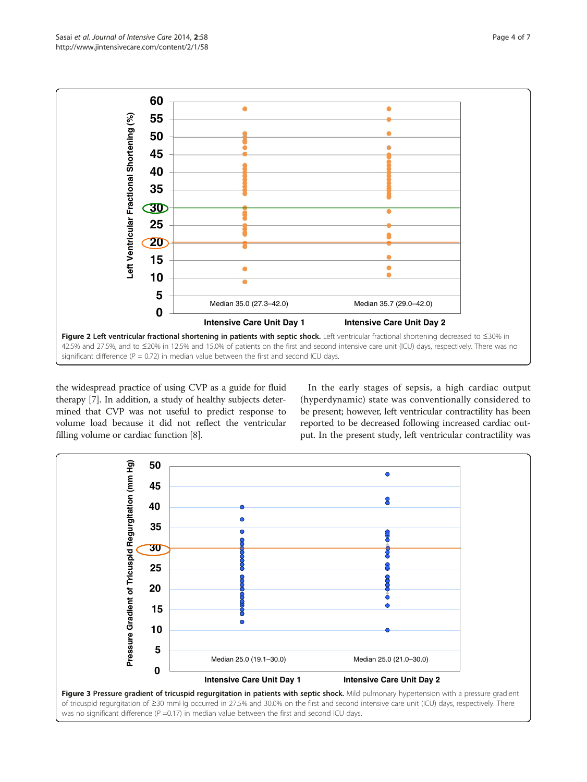<span id="page-3-0"></span>

the widespread practice of using CVP as a guide for fluid therapy [\[7\]](#page-6-0). In addition, a study of healthy subjects determined that CVP was not useful to predict response to volume load because it did not reflect the ventricular filling volume or cardiac function [[8\]](#page-6-0).

In the early stages of sepsis, a high cardiac output (hyperdynamic) state was conventionally considered to be present; however, left ventricular contractility has been reported to be decreased following increased cardiac output. In the present study, left ventricular contractility was

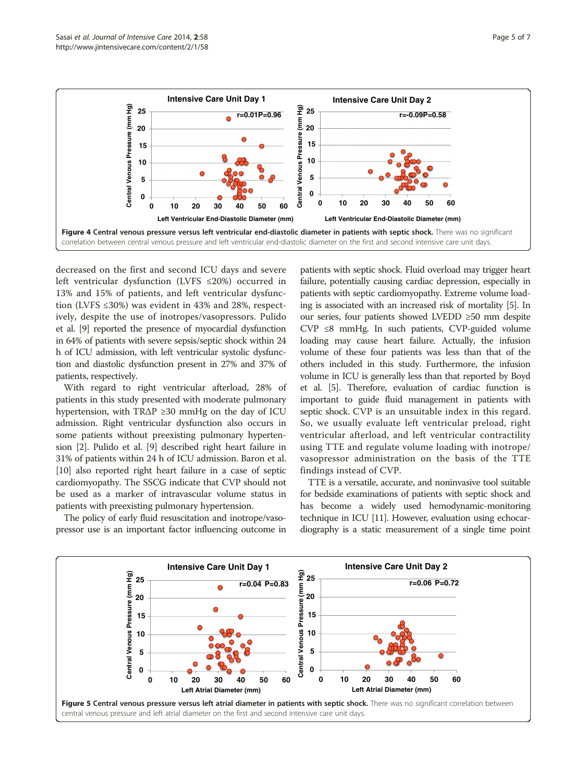<span id="page-4-0"></span>

decreased on the first and second ICU days and severe left ventricular dysfunction (LVFS ≤20%) occurred in 13% and 15% of patients, and left ventricular dysfunction (LVFS ≤30%) was evident in 43% and 28%, respectively, despite the use of inotropes/vasopressors. Pulido et al. [\[9\]](#page-6-0) reported the presence of myocardial dysfunction in 64% of patients with severe sepsis/septic shock within 24 h of ICU admission, with left ventricular systolic dysfunction and diastolic dysfunction present in 27% and 37% of patients, respectively.

With regard to right ventricular afterload, 28% of patients in this study presented with moderate pulmonary hypertension, with TRΔP ≥30 mmHg on the day of ICU admission. Right ventricular dysfunction also occurs in some patients without preexisting pulmonary hypertension [\[2](#page-6-0)]. Pulido et al. [[9\]](#page-6-0) described right heart failure in 31% of patients within 24 h of ICU admission. Baron et al. [[10](#page-6-0)] also reported right heart failure in a case of septic cardiomyopathy. The SSCG indicate that CVP should not be used as a marker of intravascular volume status in patients with preexisting pulmonary hypertension.

The policy of early fluid resuscitation and inotrope/vasopressor use is an important factor influencing outcome in

patients with septic shock. Fluid overload may trigger heart failure, potentially causing cardiac depression, especially in patients with septic cardiomyopathy. Extreme volume loading is associated with an increased risk of mortality [\[5\]](#page-6-0). In our series, four patients showed LVEDD ≥50 mm despite CVP ≤8 mmHg. In such patients, CVP-guided volume loading may cause heart failure. Actually, the infusion volume of these four patients was less than that of the others included in this study. Furthermore, the infusion volume in ICU is generally less than that reported by Boyd et al. [\[5\]](#page-6-0). Therefore, evaluation of cardiac function is important to guide fluid management in patients with septic shock. CVP is an unsuitable index in this regard. So, we usually evaluate left ventricular preload, right ventricular afterload, and left ventricular contractility using TTE and regulate volume loading with inotrope/ vasopressor administration on the basis of the TTE findings instead of CVP.

TTE is a versatile, accurate, and noninvasive tool suitable for bedside examinations of patients with septic shock and has become a widely used hemodynamic-monitoring technique in ICU [\[11\]](#page-6-0). However, evaluation using echocardiography is a static measurement of a single time point

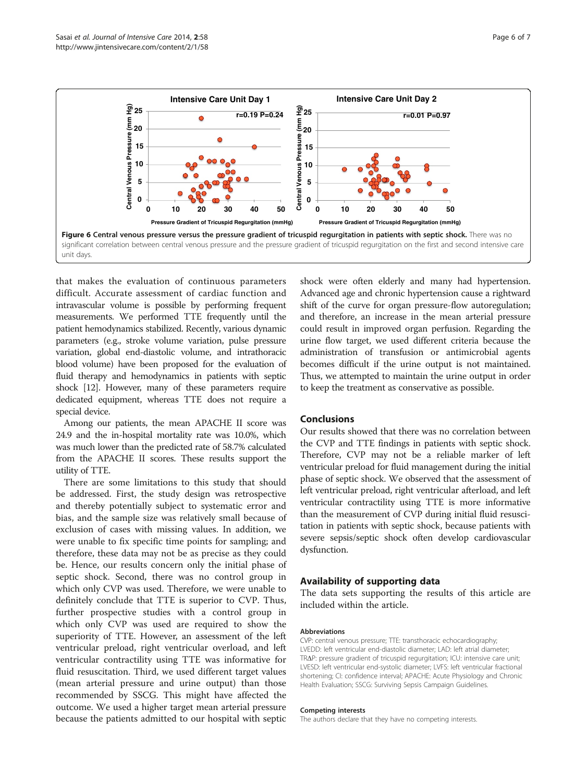<span id="page-5-0"></span>

that makes the evaluation of continuous parameters difficult. Accurate assessment of cardiac function and intravascular volume is possible by performing frequent measurements. We performed TTE frequently until the patient hemodynamics stabilized. Recently, various dynamic parameters (e.g., stroke volume variation, pulse pressure variation, global end-diastolic volume, and intrathoracic blood volume) have been proposed for the evaluation of fluid therapy and hemodynamics in patients with septic shock [\[12\]](#page-6-0). However, many of these parameters require dedicated equipment, whereas TTE does not require a special device.

Among our patients, the mean APACHE II score was 24.9 and the in-hospital mortality rate was 10.0%, which was much lower than the predicted rate of 58.7% calculated from the APACHE II scores. These results support the utility of TTE.

There are some limitations to this study that should be addressed. First, the study design was retrospective and thereby potentially subject to systematic error and bias, and the sample size was relatively small because of exclusion of cases with missing values. In addition, we were unable to fix specific time points for sampling; and therefore, these data may not be as precise as they could be. Hence, our results concern only the initial phase of septic shock. Second, there was no control group in which only CVP was used. Therefore, we were unable to definitely conclude that TTE is superior to CVP. Thus, further prospective studies with a control group in which only CVP was used are required to show the superiority of TTE. However, an assessment of the left ventricular preload, right ventricular overload, and left ventricular contractility using TTE was informative for fluid resuscitation. Third, we used different target values (mean arterial pressure and urine output) than those recommended by SSCG. This might have affected the outcome. We used a higher target mean arterial pressure because the patients admitted to our hospital with septic shock were often elderly and many had hypertension. Advanced age and chronic hypertension cause a rightward shift of the curve for organ pressure-flow autoregulation; and therefore, an increase in the mean arterial pressure could result in improved organ perfusion. Regarding the urine flow target, we used different criteria because the administration of transfusion or antimicrobial agents becomes difficult if the urine output is not maintained. Thus, we attempted to maintain the urine output in order to keep the treatment as conservative as possible.

#### Conclusions

Our results showed that there was no correlation between the CVP and TTE findings in patients with septic shock. Therefore, CVP may not be a reliable marker of left ventricular preload for fluid management during the initial phase of septic shock. We observed that the assessment of left ventricular preload, right ventricular afterload, and left ventricular contractility using TTE is more informative than the measurement of CVP during initial fluid resuscitation in patients with septic shock, because patients with severe sepsis/septic shock often develop cardiovascular dysfunction.

## Availability of supporting data

The data sets supporting the results of this article are included within the article.

#### Abbreviations

CVP: central venous pressure; TTE: transthoracic echocardiography; LVEDD: left ventricular end-diastolic diameter; LAD: left atrial diameter; TRΔP: pressure gradient of tricuspid regurgitation; ICU: intensive care unit; LVESD: left ventricular end-systolic diameter; LVFS: left ventricular fractional shortening; CI: confidence interval; APACHE: Acute Physiology and Chronic Health Evaluation; SSCG: Surviving Sepsis Campaign Guidelines.

#### Competing interests

The authors declare that they have no competing interests.